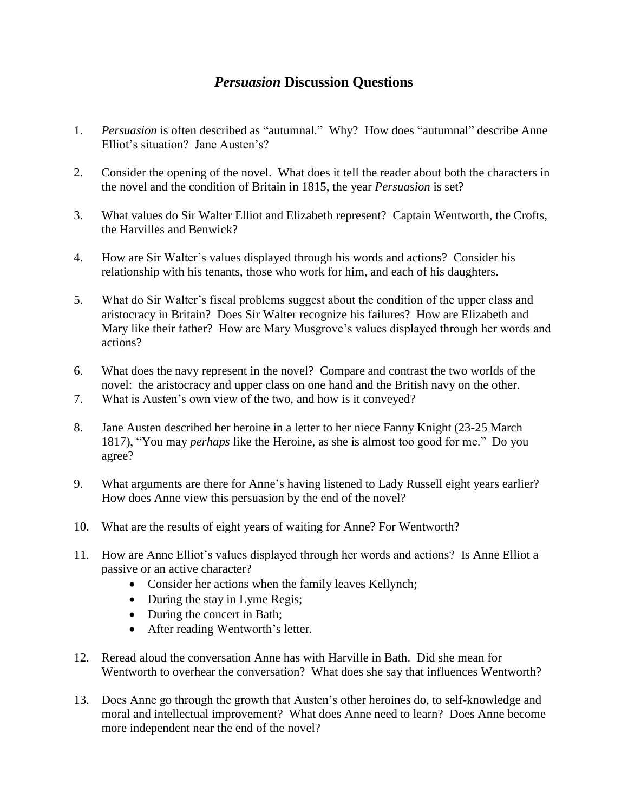## *Persuasion* **Discussion Questions**

- 1. *Persuasion* is often described as "autumnal." Why? How does "autumnal" describe Anne Elliot's situation? Jane Austen's?
- 2. Consider the opening of the novel. What does it tell the reader about both the characters in the novel and the condition of Britain in 1815, the year *Persuasion* is set?
- 3. What values do Sir Walter Elliot and Elizabeth represent? Captain Wentworth, the Crofts, the Harvilles and Benwick?
- 4. How are Sir Walter's values displayed through his words and actions? Consider his relationship with his tenants, those who work for him, and each of his daughters.
- 5. What do Sir Walter's fiscal problems suggest about the condition of the upper class and aristocracy in Britain? Does Sir Walter recognize his failures? How are Elizabeth and Mary like their father? How are Mary Musgrove's values displayed through her words and actions?
- 6. What does the navy represent in the novel? Compare and contrast the two worlds of the novel: the aristocracy and upper class on one hand and the British navy on the other.
- 7. What is Austen's own view of the two, and how is it conveyed?
- 8. Jane Austen described her heroine in a letter to her niece Fanny Knight (23-25 March 1817), "You may *perhaps* like the Heroine, as she is almost too good for me." Do you agree?
- 9. What arguments are there for Anne's having listened to Lady Russell eight years earlier? How does Anne view this persuasion by the end of the novel?
- 10. What are the results of eight years of waiting for Anne? For Wentworth?
- 11. How are Anne Elliot's values displayed through her words and actions? Is Anne Elliot a passive or an active character?
	- Consider her actions when the family leaves Kellynch;
	- During the stay in Lyme Regis;
	- During the concert in Bath;
	- After reading Wentworth's letter.
- 12. Reread aloud the conversation Anne has with Harville in Bath. Did she mean for Wentworth to overhear the conversation? What does she say that influences Wentworth?
- 13. Does Anne go through the growth that Austen's other heroines do, to self-knowledge and moral and intellectual improvement? What does Anne need to learn? Does Anne become more independent near the end of the novel?